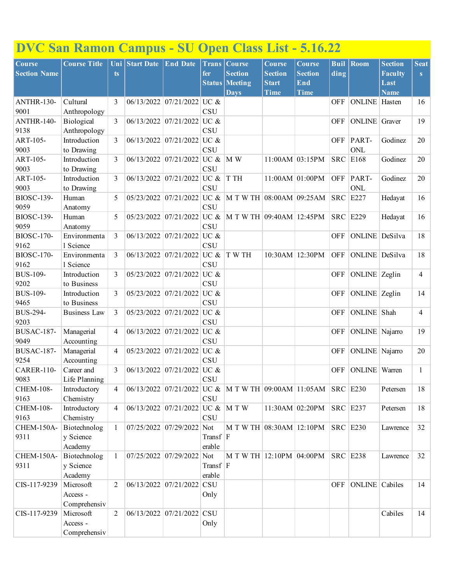## **DVC San Ramon Campus - SU Open Class List - 5.16.22**

| <b>Course</b>           | <b>Course Title</b>        |                | Uni Start Date | <b>End Date</b>                  | <b>Trans</b>       | <b>Course</b>                                                | <b>Course</b>  | Course            | <b>Buil</b> | <b>Room</b>          | <b>Section</b> | Seat           |
|-------------------------|----------------------------|----------------|----------------|----------------------------------|--------------------|--------------------------------------------------------------|----------------|-------------------|-------------|----------------------|----------------|----------------|
| <b>Section Name</b>     |                            | ts             |                |                                  | fer                | <b>Section</b>                                               | <b>Section</b> | <b>Section</b>    | ding        |                      | <b>Faculty</b> | S              |
|                         |                            |                |                |                                  | Status             | <b>Meeting</b>                                               | <b>Start</b>   | End               |             |                      | Last           |                |
|                         |                            |                |                |                                  |                    | <b>Days</b>                                                  | <b>Time</b>    | <b>Time</b>       |             |                      | <b>Name</b>    |                |
| ANTHR-130-              | Cultural                   | 3              | 06/13/2022     | 07/21/2022 UC &                  |                    |                                                              |                |                   | <b>OFF</b>  | <b>ONLINE</b> Hasten |                | 16             |
| 9001<br>ANTHR-140-      | Anthropology               |                |                |                                  | CSU<br>UC $\&$     |                                                              |                |                   |             |                      |                | 19             |
| 9138                    | Biological<br>Anthropology | 3              |                | 06/13/2022 07/21/2022            | <b>CSU</b>         |                                                              |                |                   | <b>OFF</b>  | <b>ONLINE</b> Graver |                |                |
| ART-105-                | Introduction               | 3              |                | 06/13/2022 07/21/2022 UC &       |                    |                                                              |                |                   | <b>OFF</b>  | PART-                | Godinez        | 20             |
| 9003                    | to Drawing                 |                |                |                                  | CSU                |                                                              |                |                   |             | ONL                  |                |                |
| ART-105-                | Introduction               | 3              |                | $06/13/2022$ 07/21/2022 UC &     |                    | M W                                                          |                | $11:00AM$ 03:15PM | <b>SRC</b>  | E168                 | Godinez        | 20             |
| 9003                    | to Drawing                 |                |                |                                  | CSU                |                                                              |                |                   |             |                      |                |                |
| ART-105-                | Introduction               | 3              |                | 06/13/2022 07/21/2022 UC &       |                    | T TH                                                         |                | $11:00AM$ 01:00PM | <b>OFF</b>  | PART-                | Godinez        | 20             |
| 9003                    | to Drawing                 |                |                |                                  | CSU                |                                                              |                |                   |             | ONL                  |                |                |
| <b>BIOSC-139-</b>       | Human                      | 5              | 05/23/2022     | 07/21/2022 UC &                  |                    | M T W TH 08:00AM 09:25AM                                     |                |                   | <b>SRC</b>  | E227                 | Hedayat        | 16             |
| 9059                    | Anatomy                    |                |                |                                  | <b>CSU</b>         |                                                              |                |                   |             |                      |                |                |
| <b>BIOSC-139-</b>       | Human                      | 5              | 05/23/2022     | $07/21/2022$ UC &                |                    | $\vert$ M T W TH 09:40AM 12:45PM                             |                |                   | <b>SRC</b>  | E229                 | Hedayat        | 16             |
| 9059                    | Anatomy                    |                |                |                                  | <b>CSU</b>         |                                                              |                |                   |             |                      |                |                |
| <b>BIOSC-170-</b>       | Environmenta               | 3              |                | 06/13/2022 07/21/2022 UC &       |                    |                                                              |                |                   | <b>OFF</b>  | ONLINE DeSilva       |                | 18             |
| 9162                    | 1 Science                  |                |                |                                  | CSU                |                                                              |                |                   |             |                      |                |                |
| <b>BIOSC-170-</b>       | Environmenta               | 3              |                | 06/13/2022 07/21/2022 UC &       |                    | T W TH                                                       |                | 10:30AM 12:30PM   | <b>OFF</b>  | ONLINE DeSilva       |                | 18             |
| 9162                    | 1 Science                  |                |                |                                  | <b>CSU</b>         |                                                              |                |                   |             |                      |                |                |
| <b>BUS-109-</b>         | Introduction               | 3              |                | $05/23/2022$ 07/21/2022 UC &     |                    |                                                              |                |                   | <b>OFF</b>  | ONLINE Zeglin        |                | 4              |
| 9202                    | to Business                |                |                |                                  | CSU                |                                                              |                |                   |             |                      |                |                |
| <b>BUS-109-</b>         | Introduction               | 3              |                | 05/23/2022 07/21/2022 UC &       |                    |                                                              |                |                   | <b>OFF</b>  | ONLINE Zeglin        |                | 14             |
| 9465                    | to Business                |                |                |                                  | <b>CSU</b>         |                                                              |                |                   |             |                      |                |                |
| <b>BUS-294-</b><br>9203 | <b>Business Law</b>        | 3              | 05/23/2022     | 07/21/2022                       | UC &<br><b>CSU</b> |                                                              |                |                   | <b>OFF</b>  | <b>ONLINE</b>        | Shah           | $\overline{4}$ |
| BUSAC-187-              | Managerial                 | 4              |                | 06/13/2022 07/21/2022            | UC $\&$            |                                                              |                |                   | <b>OFF</b>  | ONLINE Najarro       |                | 19             |
| 9049                    | Accounting                 |                |                |                                  | CSU                |                                                              |                |                   |             |                      |                |                |
| BUSAC-187-              | Managerial                 | $\overline{4}$ |                | 05/23/2022 07/21/2022 UC &       |                    |                                                              |                |                   | <b>OFF</b>  | ONLINE Najarro       |                | 20             |
| 9254                    | Accounting                 |                |                |                                  | CSU                |                                                              |                |                   |             |                      |                |                |
| <b>CARER-110-</b>       | Career and                 | 3              |                | 06/13/2022 07/21/2022            | UC &               |                                                              |                |                   | <b>OFF</b>  | <b>ONLINE</b> Warren |                | $\mathbf{1}$   |
| 9083                    | Life Planning              |                |                |                                  | <b>CSU</b>         |                                                              |                |                   |             |                      |                |                |
| <b>CHEM-108-</b>        | Introductory               | 4              |                |                                  |                    | 06/13/2022 07/21/2022 UC & M T W TH 09:00AM 11:05AM SRC E230 |                |                   |             |                      | Petersen       | 18             |
| 9163                    | Chemistry                  |                |                |                                  | <b>CSU</b>         |                                                              |                |                   |             |                      |                |                |
| <b>CHEM-108-</b>        | Introductory               | $\overline{4}$ |                | 06/13/2022 07/21/2022 UC & M T W |                    |                                                              |                | $11:30AM$ 02:20PM |             | $SRC$ E237           | Petersen       | 18             |
| 9163                    | Chemistry                  |                |                |                                  | <b>CSU</b>         |                                                              |                |                   |             |                      |                |                |
| CHEM-150A-              | Biotechnolog               | $\mathbf{1}$   |                | $07/25/2022$ 07/29/2022 Not      |                    | M T W TH 08:30AM 12:10PM                                     |                |                   |             | $SRC$ $E230$         | Lawrence       | 32             |
| 9311                    | y Science                  |                |                |                                  | Transf   F         |                                                              |                |                   |             |                      |                |                |
|                         | Academy                    |                |                |                                  | erable             |                                                              |                |                   |             |                      |                |                |
| CHEM-150A-              | Biotechnolog               | $\mathbf{1}$   |                | 07/25/2022 07/29/2022            | Not                | M T W TH 12:10PM 04:00PM                                     |                |                   |             | <b>SRC E238</b>      | Lawrence       | 32             |
| 9311                    | y Science                  |                |                |                                  | Transf $ F $       |                                                              |                |                   |             |                      |                |                |
|                         | Academy                    |                |                |                                  | erable             |                                                              |                |                   |             |                      |                |                |
| CIS-117-9239            | Microsoft                  | $\overline{2}$ |                | 06/13/2022 07/21/2022 CSU        |                    |                                                              |                |                   | <b>OFF</b>  | ONLINE Cabiles       |                | 14             |
|                         | Access -                   |                |                |                                  | Only               |                                                              |                |                   |             |                      |                |                |
| CIS-117-9239            | Comprehensiv<br>Microsoft  | $\overline{2}$ |                | 06/13/2022 07/21/2022 CSU        |                    |                                                              |                |                   |             |                      | Cabiles        | 14             |
|                         | Access -                   |                |                |                                  | Only               |                                                              |                |                   |             |                      |                |                |
|                         | Comprehensiv               |                |                |                                  |                    |                                                              |                |                   |             |                      |                |                |
|                         |                            |                |                |                                  |                    |                                                              |                |                   |             |                      |                |                |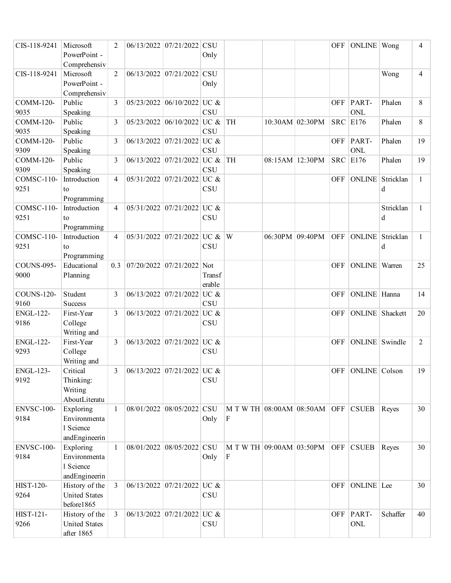| CIS-118-9241      | Microsoft            | 2              | 06/13/2022 07/21/2022 CSU    |            |                              |                   | <b>OFF</b> | ONLINE   Wong        |           | 4            |
|-------------------|----------------------|----------------|------------------------------|------------|------------------------------|-------------------|------------|----------------------|-----------|--------------|
|                   | PowerPoint -         |                |                              | Only       |                              |                   |            |                      |           |              |
|                   | Comprehensiv         |                |                              |            |                              |                   |            |                      |           |              |
| CIS-118-9241      | Microsoft            | $\overline{2}$ | 06/13/2022 07/21/2022 CSU    |            |                              |                   |            |                      | Wong      | 4            |
|                   | PowerPoint -         |                |                              | Only       |                              |                   |            |                      |           |              |
|                   | Comprehensiv         |                |                              |            |                              |                   |            |                      |           |              |
| COMM-120-         | Public               | 3              | $05/23/2022$ 06/10/2022 UC & |            |                              |                   | <b>OFF</b> | PART-                | Phalen    | 8            |
| 9035              | Speaking             |                |                              | <b>CSU</b> |                              |                   |            | ONL                  |           |              |
| <b>COMM-120-</b>  | Public               | 3              | 05/23/2022 06/10/2022 UC &   |            | <b>TH</b>                    | $10:30AM$ 02:30PM | <b>SRC</b> | E176                 | Phalen    | 8            |
| 9035              | Speaking             |                |                              | <b>CSU</b> |                              |                   |            |                      |           |              |
| COMM-120-         | Public               | 3              | 06/13/2022 07/21/2022 UC &   |            |                              |                   | <b>OFF</b> | PART-                | Phalen    | 19           |
| 9309              | Speaking             |                |                              | <b>CSU</b> |                              |                   |            | <b>ONL</b>           |           |              |
| COMM-120-         | Public               | 3              | 06/13/2022 07/21/2022 UC &   |            | <b>TH</b>                    | 08:15AM 12:30PM   | <b>SRC</b> | E176                 | Phalen    | 19           |
| 9309              | Speaking             |                |                              | <b>CSU</b> |                              |                   |            |                      |           |              |
| COMSC-110-        | Introduction         | $\overline{4}$ | $05/31/2022$ 07/21/2022 UC & |            |                              |                   | <b>OFF</b> | ONLINE Stricklan     |           | $\mathbf{1}$ |
| 9251              | to                   |                |                              | <b>CSU</b> |                              |                   |            |                      | d         |              |
|                   | Programming          |                |                              |            |                              |                   |            |                      |           |              |
| COMSC-110-        | Introduction         | 4              | $05/31/2022$ 07/21/2022 UC & |            |                              |                   |            |                      | Stricklan | 1            |
| 9251              | to                   |                |                              | CSU        |                              |                   |            |                      | d         |              |
|                   | Programming          |                |                              |            |                              |                   |            |                      |           |              |
| COMSC-110-        | Introduction         | 4              | $05/31/2022$ 07/21/2022 UC & |            | W                            | 06:30PM 09:40PM   | <b>OFF</b> | ONLINE Stricklan     |           | 1            |
| 9251              | to                   |                |                              | <b>CSU</b> |                              |                   |            |                      | d         |              |
|                   | Programming          |                |                              |            |                              |                   |            |                      |           |              |
| <b>COUNS-095-</b> | Educational          | 0.3            | 07/20/2022 07/21/2022 Not    |            |                              |                   | <b>OFF</b> | <b>ONLINE</b> Warren |           | 25           |
| 9000              | Planning             |                |                              | Transf     |                              |                   |            |                      |           |              |
|                   |                      |                |                              | erable     |                              |                   |            |                      |           |              |
| <b>COUNS-120-</b> | Student              | 3              | $06/13/2022$ 07/21/2022 UC & |            |                              |                   | <b>OFF</b> | ONLINE Hanna         |           | 14           |
| 9160              | <b>Success</b>       |                |                              | <b>CSU</b> |                              |                   |            |                      |           |              |
| <b>ENGL-122-</b>  | First-Year           | 3              | 06/13/2022 07/21/2022        | UC &       |                              |                   | <b>OFF</b> | ONLINE Shackett      |           | 20           |
| 9186              | College              |                |                              | <b>CSU</b> |                              |                   |            |                      |           |              |
|                   | Writing and          |                |                              |            |                              |                   |            |                      |           |              |
| <b>ENGL-122-</b>  | First-Year           | 3              | 06/13/2022 07/21/2022        | UC &       |                              |                   | <b>OFF</b> | ONLINE Swindle       |           | 2            |
| 9293              | College              |                |                              | <b>CSU</b> |                              |                   |            |                      |           |              |
|                   | Writing and          |                |                              |            |                              |                   |            |                      |           |              |
| <b>ENGL-123-</b>  | Critical             | $\overline{3}$ | 06/13/2022 07/21/2022 UC &   |            |                              |                   |            | OFF ONLINE Colson    |           | 19           |
| 9192              | Thinking:            |                |                              | <b>CSU</b> |                              |                   |            |                      |           |              |
|                   | Writing              |                |                              |            |                              |                   |            |                      |           |              |
|                   | AboutLiteratu        |                |                              |            |                              |                   |            |                      |           |              |
| ENVSC-100-        | Exploring            | $\mathbf{1}$   | 08/01/2022 08/05/2022 CSU    |            | M T W TH 08:00AM 08:50AM OFF |                   |            | <b>CSUEB</b>         | Reyes     | 30           |
| 9184              | Environmenta         |                |                              | Only       | $\mathbf F$                  |                   |            |                      |           |              |
|                   | 1 Science            |                |                              |            |                              |                   |            |                      |           |              |
|                   | andEngineerin        |                |                              |            |                              |                   |            |                      |           |              |
| ENVSC-100-        | Exploring            | $\mathbf{1}$   | 08/01/2022 08/05/2022 CSU    |            | M T W TH 09:00AM 03:50PM     |                   | OFF        | <b>CSUEB</b>         | Reyes     | 30           |
| 9184              | Environmenta         |                |                              | Only       | F                            |                   |            |                      |           |              |
|                   | 1 Science            |                |                              |            |                              |                   |            |                      |           |              |
|                   | andEngineerin        |                |                              |            |                              |                   |            |                      |           |              |
| <b>HIST-120-</b>  | History of the       | $\overline{3}$ | $06/13/2022$ 07/21/2022 UC & |            |                              |                   | OFF        | ONLINE Lee           |           | 30           |
| 9264              | <b>United States</b> |                |                              | <b>CSU</b> |                              |                   |            |                      |           |              |
|                   | before1865           |                |                              |            |                              |                   |            |                      |           |              |
| HIST-121-         | History of the       | 3              | $06/13/2022$ 07/21/2022 UC & |            |                              |                   | OFF        | PART-                | Schaffer  | 40           |
| 9266              | <b>United States</b> |                |                              | <b>CSU</b> |                              |                   |            | $\mbox{ONL}$         |           |              |
|                   | after 1865           |                |                              |            |                              |                   |            |                      |           |              |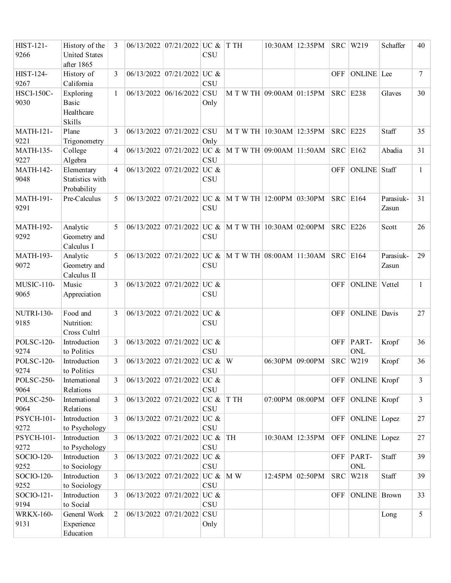| <b>HIST-121-</b><br>9266  | History of the<br><b>United States</b>            | 3              |            | $06/13/2022$ 07/21/2022 UC & | <b>CSU</b>         | <b>TH</b>                                           | $10:30AM$ 12:35PM |            | <b>SRC</b> W219       | Schaffer           | 40           |
|---------------------------|---------------------------------------------------|----------------|------------|------------------------------|--------------------|-----------------------------------------------------|-------------------|------------|-----------------------|--------------------|--------------|
| HIST-124-                 | after 1865<br>History of                          | 3              |            | $06/13/2022$ 07/21/2022 UC & |                    |                                                     |                   | <b>OFF</b> | ONLINE Lee            |                    | $\tau$       |
| 9267                      | California                                        |                |            |                              | <b>CSU</b>         |                                                     |                   |            |                       |                    |              |
| <b>HSCI-150C-</b><br>9030 | Exploring<br><b>Basic</b><br>Healthcare<br>Skills | 1              | 06/13/2022 | $ 06/16/2022 $ CSU           | Only               | M T W TH 09:00AM 01:15PM                            |                   |            | <b>SRC</b> E238       | Glaves             | 30           |
| <b>MATH-121-</b><br>9221  | Plane<br>Trigonometry                             | 3              |            | 06/13/2022 07/21/2022 CSU    | Only               | M T W TH 10:30AM 12:35PM                            |                   |            | <b>SRC</b> E225       | Staff              | 35           |
| <b>MATH-135-</b><br>9227  | College<br>Algebra                                | 4              |            | 06/13/2022 07/21/2022 UC &   | <b>CSU</b>         | M T W TH 09:00AM 11:50AM                            |                   |            | <b>SRC</b> E162       | Abadia             | 31           |
| <b>MATH-142-</b><br>9048  | Elementary<br>Statistics with<br>Probability      | 4              |            | 06/13/2022 07/21/2022 UC &   | <b>CSU</b>         |                                                     |                   | <b>OFF</b> | ONLINE Staff          |                    | $\mathbf{1}$ |
| <b>MATH-191-</b><br>9291  | Pre-Calculus                                      | 5              |            | $06/13/2022$ 07/21/2022 UC & | <b>CSU</b>         | $\vert$ M T W TH 12:00PM 03:30PM                    |                   |            | <b>SRC</b> E164       | Parasiuk-<br>Zasun | 31           |
| <b>MATH-192-</b><br>9292  | Analytic<br>Geometry and<br>Calculus I            | 5              |            |                              | <b>CSU</b>         | 06/13/2022 07/21/2022 UC & M T W TH 10:30AM 02:00PM |                   |            | <b>SRC</b> E226       | Scott              | 26           |
| <b>MATH-193-</b><br>9072  | Analytic<br>Geometry and<br>Calculus II           | 5              |            | $06/13/2022$ 07/21/2022 UC & | <b>CSU</b>         | M T W TH 08:00AM 11:30AM                            |                   |            | <b>SRC</b> E164       | Parasiuk-<br>Zasun | 29           |
| MUSIC-110-<br>9065        | Music<br>Appreciation                             | 3              |            | 06/13/2022 07/21/2022 UC &   | <b>CSU</b>         |                                                     |                   | <b>OFF</b> | <b>ONLINE</b> Vettel  |                    | $\mathbf{1}$ |
| NUTRI-130-<br>9185        | Food and<br>Nutrition:<br>Cross Cultrl            | 3              |            | 06/13/2022 07/21/2022 UC &   | <b>CSU</b>         |                                                     |                   | <b>OFF</b> | <b>ONLINE</b> Davis   |                    | 27           |
| <b>POLSC-120-</b><br>9274 | Introduction<br>to Politics                       | 3              |            | 06/13/2022 07/21/2022 UC &   | <b>CSU</b>         |                                                     |                   | <b>OFF</b> | PART-<br>ONL          | Kropf              | 36           |
| <b>POLSC-120-</b><br>9274 | Introduction<br>to Politics                       | 3              |            | 06/13/2022 07/21/2022 UC & W | CSU                |                                                     | 06:30PM 09:00PM   | <b>SRC</b> | W219                  | Kropf              | 36           |
| POLSC-250-<br>9064        | International<br>Relations                        | 3              |            | $06/13/2022$ 07/21/2022 UC & | <b>CSU</b>         |                                                     |                   | <b>OFF</b> | ONLINE Kropf          |                    | 3            |
| POLSC-250-<br>9064        | International<br>Relations                        | 3              |            | $06/13/2022$ 07/21/2022 UC & | CSU                | T TH                                                | 07:00PM 08:00PM   | OFF        | ONLINE Kropf          |                    | 3            |
| <b>PSYCH-101-</b><br>9272 | Introduction<br>to Psychology                     | 3              |            | 06/13/2022 07/21/2022 UC &   | <b>CSU</b>         |                                                     |                   | <b>OFF</b> | ONLINE Lopez          |                    | 27           |
| PSYCH-101-<br>9272        | Introduction<br>to Psychology                     | 3              |            | $06/13/2022$ 07/21/2022 UC & | <b>CSU</b>         | <b>TH</b>                                           | 10:30AM 12:35PM   | OFF        | ONLINE Lopez          |                    | 27           |
| SOCIO-120-<br>9252        | Introduction<br>to Sociology                      | 3              |            | 06/13/2022 07/21/2022 UC &   | CSU                |                                                     |                   | <b>OFF</b> | PART-<br>$\mbox{ONL}$ | Staff              | 39           |
| SOCIO-120-<br>9252        | Introduction<br>to Sociology                      | 3              |            | 06/13/2022 07/21/2022 UC &   | <b>CSU</b>         | M W                                                 | 12:45PM 02:50PM   | <b>SRC</b> | W218                  | Staff              | 39           |
| SOCIO-121-<br>9194        | Introduction<br>to Social                         | 3              |            | 06/13/2022 07/21/2022 UC &   | CSU                |                                                     |                   | <b>OFF</b> | <b>ONLINE</b> Brown   |                    | 33           |
| <b>WRKX-160-</b><br>9131  | General Work<br>Experience<br>Education           | $\overline{2}$ |            | 06/13/2022 07/21/2022        | <b>CSU</b><br>Only |                                                     |                   |            |                       | Long               | 5            |